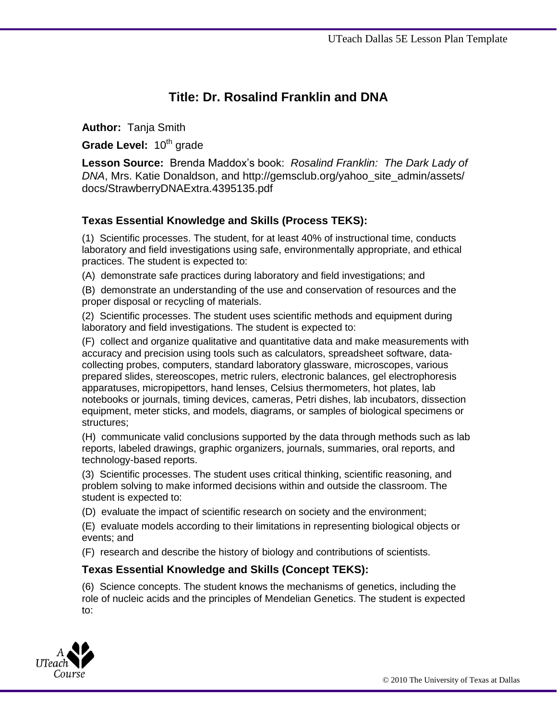# **Title: Dr. Rosalind Franklin and DNA**

**Author:** Tanja Smith

Grade Level: 10<sup>th</sup> grade

**Lesson Source:** Brenda Maddox's book: *Rosalind Franklin: The Dark Lady of DNA*, Mrs. Katie Donaldson, and http://gemsclub.org/yahoo\_site\_admin/assets/ docs/StrawberryDNAExtra.4395135.pdf

## **Texas Essential Knowledge and Skills (Process TEKS):**

(1) Scientific processes. The student, for at least 40% of instructional time, conducts laboratory and field investigations using safe, environmentally appropriate, and ethical practices. The student is expected to:

(A) demonstrate safe practices during laboratory and field investigations; and

(B) demonstrate an understanding of the use and conservation of resources and the proper disposal or recycling of materials.

(2) Scientific processes. The student uses scientific methods and equipment during laboratory and field investigations. The student is expected to:

(F) collect and organize qualitative and quantitative data and make measurements with accuracy and precision using tools such as calculators, spreadsheet software, datacollecting probes, computers, standard laboratory glassware, microscopes, various prepared slides, stereoscopes, metric rulers, electronic balances, gel electrophoresis apparatuses, micropipettors, hand lenses, Celsius thermometers, hot plates, lab notebooks or journals, timing devices, cameras, Petri dishes, lab incubators, dissection equipment, meter sticks, and models, diagrams, or samples of biological specimens or structures;

(H) communicate valid conclusions supported by the data through methods such as lab reports, labeled drawings, graphic organizers, journals, summaries, oral reports, and technology-based reports.

(3) Scientific processes. The student uses critical thinking, scientific reasoning, and problem solving to make informed decisions within and outside the classroom. The student is expected to:

(D) evaluate the impact of scientific research on society and the environment;

(E) evaluate models according to their limitations in representing biological objects or events; and

(F) research and describe the history of biology and contributions of scientists.

#### **Texas Essential Knowledge and Skills (Concept TEKS):**

(6) Science concepts. The student knows the mechanisms of genetics, including the role of nucleic acids and the principles of Mendelian Genetics. The student is expected to:

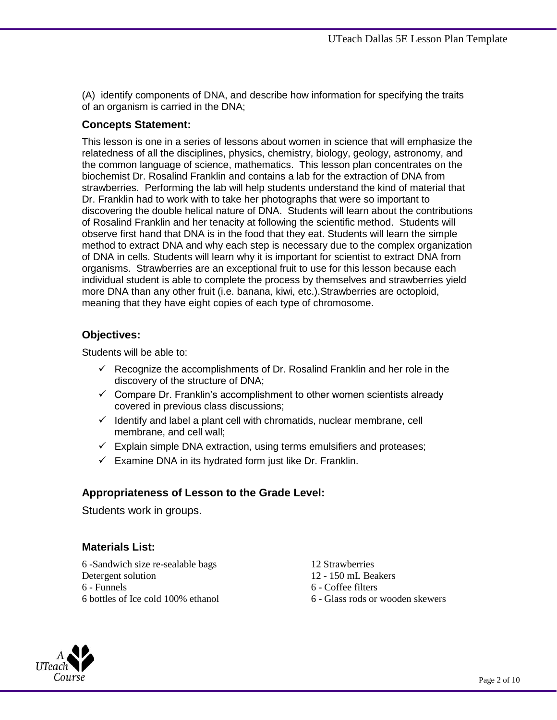(A) identify components of DNA, and describe how information for specifying the traits of an organism is carried in the DNA;

## **Concepts Statement:**

This lesson is one in a series of lessons about women in science that will emphasize the relatedness of all the disciplines, physics, chemistry, biology, geology, astronomy, and the common language of science, mathematics. This lesson plan concentrates on the biochemist Dr. Rosalind Franklin and contains a lab for the extraction of DNA from strawberries. Performing the lab will help students understand the kind of material that Dr. Franklin had to work with to take her photographs that were so important to discovering the double helical nature of DNA. Students will learn about the contributions of Rosalind Franklin and her tenacity at following the scientific method. Students will observe first hand that DNA is in the food that they eat. Students will learn the simple method to extract DNA and why each step is necessary due to the complex organization of DNA in cells. Students will learn why it is important for scientist to extract DNA from organisms. Strawberries are an exceptional fruit to use for this lesson because each individual student is able to complete the process by themselves and strawberries yield more DNA than any other fruit (i.e. banana, kiwi, etc.).Strawberries are octoploid, meaning that they have eight copies of each type of chromosome.

#### **Objectives:**

Students will be able to:

- $\checkmark$  Recognize the accomplishments of Dr. Rosalind Franklin and her role in the discovery of the structure of DNA;
- $\checkmark$  Compare Dr. Franklin's accomplishment to other women scientists already covered in previous class discussions;
- $\checkmark$  Identify and label a plant cell with chromatids, nuclear membrane, cell membrane, and cell wall;
- $\checkmark$  Explain simple DNA extraction, using terms emulsifiers and proteases;
- $\checkmark$  Examine DNA in its hydrated form just like Dr. Franklin.

## **Appropriateness of Lesson to the Grade Level:**

Students work in groups.

## **Materials List:**

6 -Sandwich size re-sealable bags 12 Strawberries Detergent solution 12 - 150 mL Beakers 6 - Funnels 6 - Coffee filters 6 bottles of Ice cold 100% ethanol 6 - Glass rods or wooden skewers

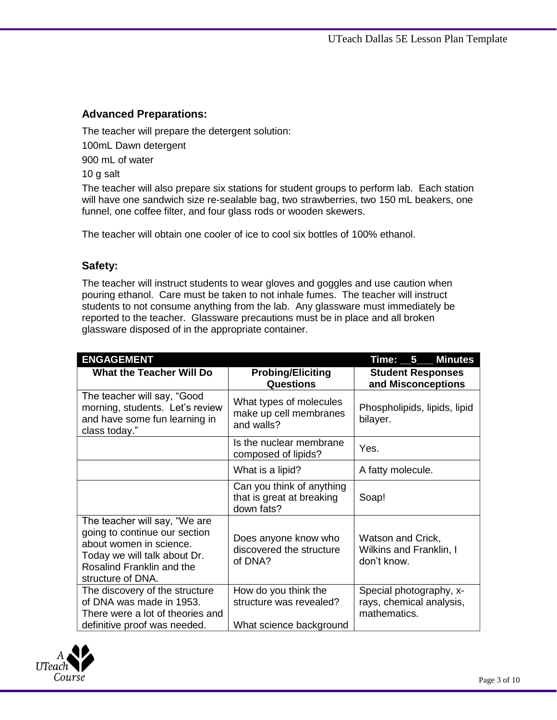### **Advanced Preparations:**

The teacher will prepare the detergent solution: 100mL Dawn detergent 900 mL of water 10 g salt

The teacher will also prepare six stations for student groups to perform lab. Each station will have one sandwich size re-sealable bag, two strawberries, two 150 mL beakers, one funnel, one coffee filter, and four glass rods or wooden skewers.

The teacher will obtain one cooler of ice to cool six bottles of 100% ethanol.

#### **Safety:**

The teacher will instruct students to wear gloves and goggles and use caution when pouring ethanol. Care must be taken to not inhale fumes. The teacher will instruct students to not consume anything from the lab. Any glassware must immediately be reported to the teacher. Glassware precautions must be in place and all broken glassware disposed of in the appropriate container.

| <b>ENGAGEMENT</b>                                                                                                                                                           |                                                                            | <b>Minutes</b><br>Time: __5___                                      |
|-----------------------------------------------------------------------------------------------------------------------------------------------------------------------------|----------------------------------------------------------------------------|---------------------------------------------------------------------|
| <b>What the Teacher Will Do</b>                                                                                                                                             | <b>Probing/Eliciting</b><br><b>Questions</b>                               | <b>Student Responses</b><br>and Misconceptions                      |
| The teacher will say, "Good<br>morning, students. Let's review<br>and have some fun learning in<br>class today."                                                            | What types of molecules<br>make up cell membranes<br>and walls?            | Phospholipids, lipids, lipid<br>bilayer.                            |
|                                                                                                                                                                             | Is the nuclear membrane<br>composed of lipids?                             | Yes.                                                                |
|                                                                                                                                                                             | What is a lipid?                                                           | A fatty molecule.                                                   |
|                                                                                                                                                                             | Can you think of anything<br>that is great at breaking<br>down fats?       | Soap!                                                               |
| The teacher will say, "We are<br>going to continue our section<br>about women in science.<br>Today we will talk about Dr.<br>Rosalind Franklin and the<br>structure of DNA. | Does anyone know who<br>discovered the structure<br>of DNA?                | Watson and Crick,<br>Wilkins and Franklin, I<br>don't know.         |
| The discovery of the structure<br>of DNA was made in 1953.<br>There were a lot of theories and<br>definitive proof was needed.                                              | How do you think the<br>structure was revealed?<br>What science background | Special photography, x-<br>rays, chemical analysis,<br>mathematics. |

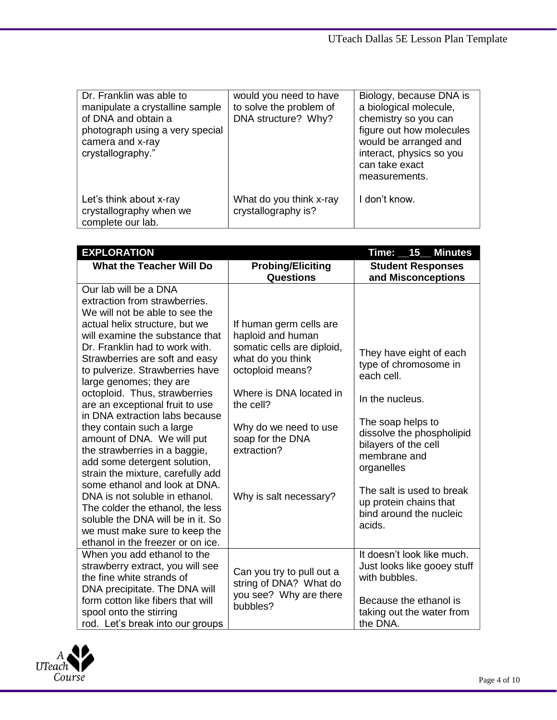| Dr. Franklin was able to<br>manipulate a crystalline sample<br>of DNA and obtain a<br>photograph using a very special<br>camera and x-ray<br>crystallography." | would you need to have<br>to solve the problem of<br>DNA structure? Why? | Biology, because DNA is<br>a biological molecule,<br>chemistry so you can<br>figure out how molecules<br>would be arranged and<br>interact, physics so you<br>can take exact<br>measurements. |
|----------------------------------------------------------------------------------------------------------------------------------------------------------------|--------------------------------------------------------------------------|-----------------------------------------------------------------------------------------------------------------------------------------------------------------------------------------------|
| Let's think about x-ray<br>crystallography when we<br>complete our lab.                                                                                        | What do you think x-ray<br>crystallography is?                           | I don't know.                                                                                                                                                                                 |

| <b>EXPLORATION</b>                                                                                                                                                                                                                                                                                                                                                                                                                                                                                                                                                                                                                                                                                                                                  |                                                                                                                                                                                                                                                   | Time:<br>15<br><b>Minutes</b>                                                                                                                                                                                                                                                         |
|-----------------------------------------------------------------------------------------------------------------------------------------------------------------------------------------------------------------------------------------------------------------------------------------------------------------------------------------------------------------------------------------------------------------------------------------------------------------------------------------------------------------------------------------------------------------------------------------------------------------------------------------------------------------------------------------------------------------------------------------------------|---------------------------------------------------------------------------------------------------------------------------------------------------------------------------------------------------------------------------------------------------|---------------------------------------------------------------------------------------------------------------------------------------------------------------------------------------------------------------------------------------------------------------------------------------|
| <b>What the Teacher Will Do</b>                                                                                                                                                                                                                                                                                                                                                                                                                                                                                                                                                                                                                                                                                                                     | <b>Probing/Eliciting</b><br><b>Questions</b>                                                                                                                                                                                                      | <b>Student Responses</b><br>and Misconceptions                                                                                                                                                                                                                                        |
| Our lab will be a DNA<br>extraction from strawberries.<br>We will not be able to see the<br>actual helix structure, but we<br>will examine the substance that<br>Dr. Franklin had to work with.<br>Strawberries are soft and easy<br>to pulverize. Strawberries have<br>large genomes; they are<br>octoploid. Thus, strawberries<br>are an exceptional fruit to use<br>in DNA extraction labs because<br>they contain such a large<br>amount of DNA. We will put<br>the strawberries in a baggie,<br>add some detergent solution,<br>strain the mixture, carefully add<br>some ethanol and look at DNA.<br>DNA is not soluble in ethanol.<br>The colder the ethanol, the less<br>soluble the DNA will be in it. So<br>we must make sure to keep the | If human germ cells are<br>haploid and human<br>somatic cells are diploid,<br>what do you think<br>octoploid means?<br>Where is DNA located in<br>the cell?<br>Why do we need to use<br>soap for the DNA<br>extraction?<br>Why is salt necessary? | They have eight of each<br>type of chromosome in<br>each cell.<br>In the nucleus.<br>The soap helps to<br>dissolve the phospholipid<br>bilayers of the cell<br>membrane and<br>organelles<br>The salt is used to break<br>up protein chains that<br>bind around the nucleic<br>acids. |
| ethanol in the freezer or on ice.<br>When you add ethanol to the<br>strawberry extract, you will see<br>the fine white strands of                                                                                                                                                                                                                                                                                                                                                                                                                                                                                                                                                                                                                   | Can you try to pull out a                                                                                                                                                                                                                         | It doesn't look like much.<br>Just looks like gooey stuff<br>with bubbles.                                                                                                                                                                                                            |
| DNA precipitate. The DNA will<br>form cotton like fibers that will<br>spool onto the stirring                                                                                                                                                                                                                                                                                                                                                                                                                                                                                                                                                                                                                                                       | string of DNA? What do<br>you see? Why are there<br>bubbles?                                                                                                                                                                                      | Because the ethanol is<br>taking out the water from                                                                                                                                                                                                                                   |
| rod. Let's break into our groups                                                                                                                                                                                                                                                                                                                                                                                                                                                                                                                                                                                                                                                                                                                    |                                                                                                                                                                                                                                                   | the DNA.                                                                                                                                                                                                                                                                              |

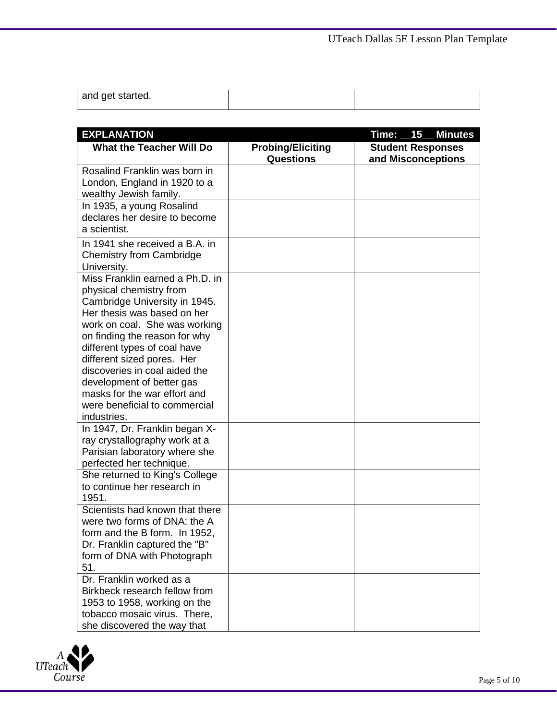| and get started. |  |
|------------------|--|

| <b>EXPLANATION</b>                                                                                                           |                                              | Time: 15 Minutes                               |
|------------------------------------------------------------------------------------------------------------------------------|----------------------------------------------|------------------------------------------------|
| <b>What the Teacher Will Do</b>                                                                                              | <b>Probing/Eliciting</b><br><b>Questions</b> | <b>Student Responses</b><br>and Misconceptions |
| Rosalind Franklin was born in<br>London, England in 1920 to a<br>wealthy Jewish family.                                      |                                              |                                                |
| In 1935, a young Rosalind<br>declares her desire to become<br>a scientist.                                                   |                                              |                                                |
| In 1941 she received a B.A. in<br><b>Chemistry from Cambridge</b><br>University.                                             |                                              |                                                |
| Miss Franklin earned a Ph.D. in<br>physical chemistry from<br>Cambridge University in 1945.<br>Her thesis was based on her   |                                              |                                                |
| work on coal. She was working<br>on finding the reason for why<br>different types of coal have                               |                                              |                                                |
| different sized pores. Her<br>discoveries in coal aided the<br>development of better gas                                     |                                              |                                                |
| masks for the war effort and<br>were beneficial to commercial<br>industries.                                                 |                                              |                                                |
| In 1947, Dr. Franklin began X-<br>ray crystallography work at a<br>Parisian laboratory where she<br>perfected her technique. |                                              |                                                |
| She returned to King's College<br>to continue her research in<br>1951.                                                       |                                              |                                                |
| Scientists had known that there<br>were two forms of DNA: the A<br>form and the B form. In 1952,                             |                                              |                                                |
| Dr. Franklin captured the "B"<br>form of DNA with Photograph<br>51.                                                          |                                              |                                                |
| Dr. Franklin worked as a<br>Birkbeck research fellow from<br>1953 to 1958, working on the<br>tobacco mosaic virus. There,    |                                              |                                                |
| she discovered the way that                                                                                                  |                                              |                                                |

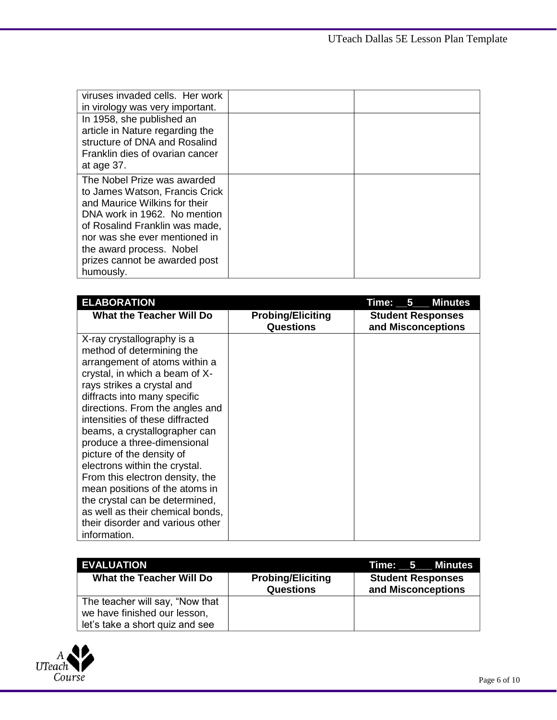| viruses invaded cells. Her work<br>in virology was very important.                                                                                                                                                                                                          |  |
|-----------------------------------------------------------------------------------------------------------------------------------------------------------------------------------------------------------------------------------------------------------------------------|--|
| In 1958, she published an<br>article in Nature regarding the<br>structure of DNA and Rosalind<br>Franklin dies of ovarian cancer<br>at age 37.                                                                                                                              |  |
| The Nobel Prize was awarded<br>to James Watson, Francis Crick<br>and Maurice Wilkins for their<br>DNA work in 1962. No mention<br>of Rosalind Franklin was made,<br>nor was she ever mentioned in<br>the award process. Nobel<br>prizes cannot be awarded post<br>humously. |  |

| <b>ELABORATION</b>                                                                                                                                                                                                                                                                                                                                                                                                                                                                                                                                                                          |                                              | <b>Minutes</b><br>Time: __5___                 |
|---------------------------------------------------------------------------------------------------------------------------------------------------------------------------------------------------------------------------------------------------------------------------------------------------------------------------------------------------------------------------------------------------------------------------------------------------------------------------------------------------------------------------------------------------------------------------------------------|----------------------------------------------|------------------------------------------------|
| <b>What the Teacher Will Do</b>                                                                                                                                                                                                                                                                                                                                                                                                                                                                                                                                                             | <b>Probing/Eliciting</b><br><b>Questions</b> | <b>Student Responses</b><br>and Misconceptions |
| X-ray crystallography is a<br>method of determining the<br>arrangement of atoms within a<br>crystal, in which a beam of X-<br>rays strikes a crystal and<br>diffracts into many specific<br>directions. From the angles and<br>intensities of these diffracted<br>beams, a crystallographer can<br>produce a three-dimensional<br>picture of the density of<br>electrons within the crystal.<br>From this electron density, the<br>mean positions of the atoms in<br>the crystal can be determined,<br>as well as their chemical bonds,<br>their disorder and various other<br>information. |                                              |                                                |

| <b>EVALUATION</b>                                               |                                              | Time: 5 Minutes                                |
|-----------------------------------------------------------------|----------------------------------------------|------------------------------------------------|
| What the Teacher Will Do                                        | <b>Probing/Eliciting</b><br><b>Questions</b> | <b>Student Responses</b><br>and Misconceptions |
| The teacher will say, "Now that                                 |                                              |                                                |
| we have finished our lesson,<br>let's take a short quiz and see |                                              |                                                |

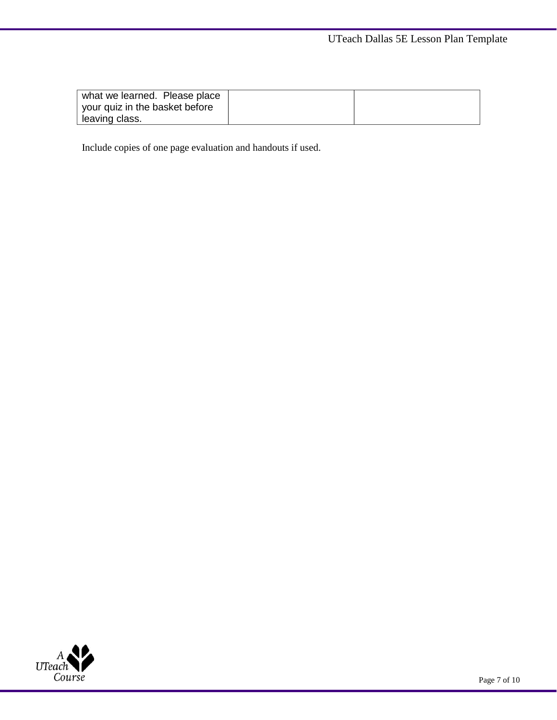| what we learned. Please place  |  |
|--------------------------------|--|
| your quiz in the basket before |  |
| l leaving class.               |  |

Include copies of one page evaluation and handouts if used.

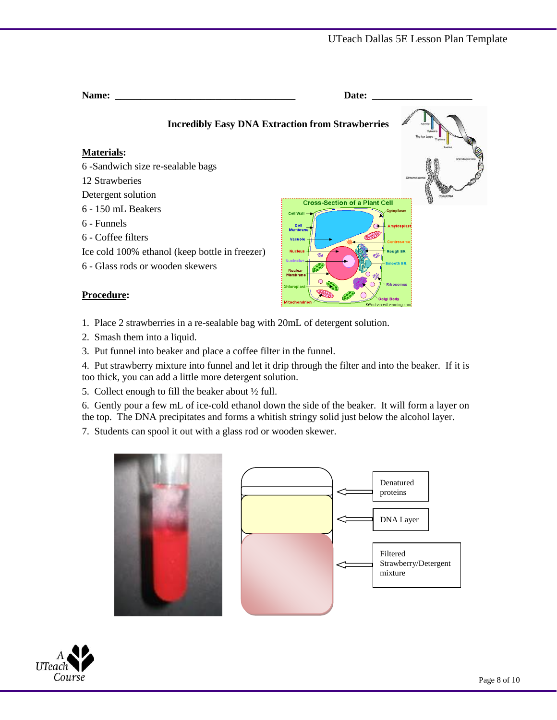| <b>Name:</b>                                            | Date:                                                                                      |  |  |
|---------------------------------------------------------|--------------------------------------------------------------------------------------------|--|--|
| <b>Incredibly Easy DNA Extraction from Strawberries</b> | The four bases                                                                             |  |  |
| <b>Materials:</b>                                       | DNA double held                                                                            |  |  |
| 6-Sandwich size re-sealable bags                        |                                                                                            |  |  |
| 12 Strawberies                                          | Chromosome                                                                                 |  |  |
| Detergent solution                                      |                                                                                            |  |  |
| $6 - 150$ mL Beakers                                    | <b>Cross-Section of a Plant Cell</b><br>Cytoplasm<br>Cell Wall -                           |  |  |
| 6 - Funnels                                             | Cell<br>౧<br>Amylosplast)                                                                  |  |  |
| 6 - Coffee filters                                      | <b>Membrane</b><br>Vacuole<br><b>Centrosom</b>                                             |  |  |
| Ice cold 100% ethanol (keep bottle in freezer)          | <b>Nucleus</b><br><b>Rough ER</b><br>ŵ                                                     |  |  |
| 6 - Glass rods or wooden skewers                        | <b>lucleolus</b><br><b>Smooth ER</b><br><b>Nuclear</b>                                     |  |  |
| <b>Procedure:</b>                                       | Membrane<br><b>Ribosomes</b><br><b>Chloroplast</b><br>Golai Bodv<br>©EnchantedLearning.com |  |  |

1. Place 2 strawberries in a re-sealable bag with 20mL of detergent solution.

2. Smash them into a liquid.

3. Put funnel into beaker and place a coffee filter in the funnel.

4. Put strawberry mixture into funnel and let it drip through the filter and into the beaker. If it is too thick, you can add a little more detergent solution.

5. Collect enough to fill the beaker about ½ full.

6. Gently pour a few mL of ice-cold ethanol down the side of the beaker. It will form a layer on the top. The DNA precipitates and forms a whitish stringy solid just below the alcohol layer.

7. Students can spool it out with a glass rod or wooden skewer.



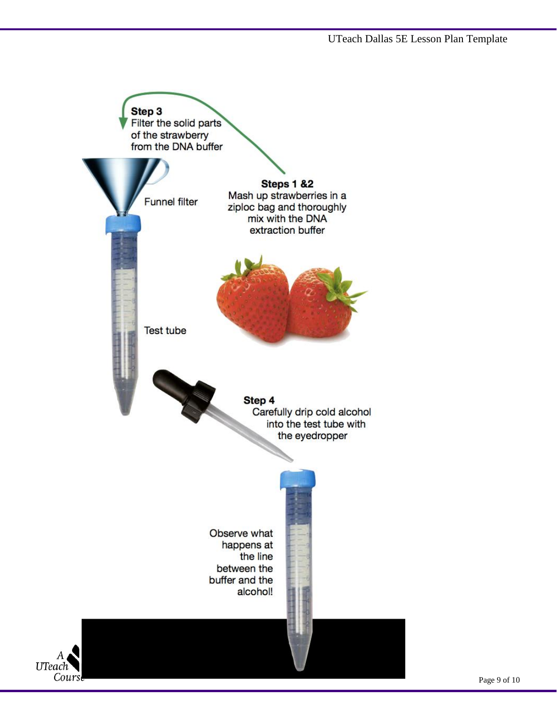